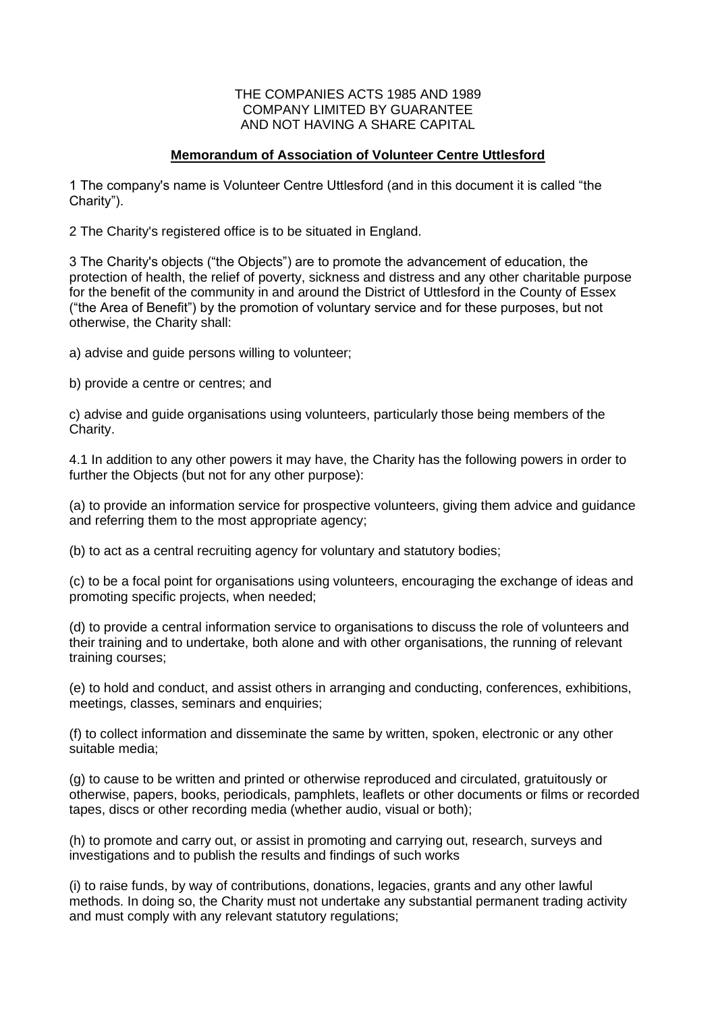#### THE COMPANIES ACTS 1985 AND 1989 COMPANY LIMITED BY GUARANTEE AND NOT HAVING A SHARE CAPITAL

## **Memorandum of Association of Volunteer Centre Uttlesford**

1 The company's name is Volunteer Centre Uttlesford (and in this document it is called "the Charity").

2 The Charity's registered office is to be situated in England.

3 The Charity's objects ("the Objects") are to promote the advancement of education, the protection of health, the relief of poverty, sickness and distress and any other charitable purpose for the benefit of the community in and around the District of Uttlesford in the County of Essex ("the Area of Benefit") by the promotion of voluntary service and for these purposes, but not otherwise, the Charity shall:

a) advise and guide persons willing to volunteer;

b) provide a centre or centres; and

c) advise and guide organisations using volunteers, particularly those being members of the Charity.

4.1 In addition to any other powers it may have, the Charity has the following powers in order to further the Objects (but not for any other purpose):

(a) to provide an information service for prospective volunteers, giving them advice and guidance and referring them to the most appropriate agency;

(b) to act as a central recruiting agency for voluntary and statutory bodies;

(c) to be a focal point for organisations using volunteers, encouraging the exchange of ideas and promoting specific projects, when needed;

(d) to provide a central information service to organisations to discuss the role of volunteers and their training and to undertake, both alone and with other organisations, the running of relevant training courses;

(e) to hold and conduct, and assist others in arranging and conducting, conferences, exhibitions, meetings, classes, seminars and enquiries;

(f) to collect information and disseminate the same by written, spoken, electronic or any other suitable media;

(g) to cause to be written and printed or otherwise reproduced and circulated, gratuitously or otherwise, papers, books, periodicals, pamphlets, leaflets or other documents or films or recorded tapes, discs or other recording media (whether audio, visual or both);

(h) to promote and carry out, or assist in promoting and carrying out, research, surveys and investigations and to publish the results and findings of such works

(i) to raise funds, by way of contributions, donations, legacies, grants and any other lawful methods. In doing so, the Charity must not undertake any substantial permanent trading activity and must comply with any relevant statutory regulations;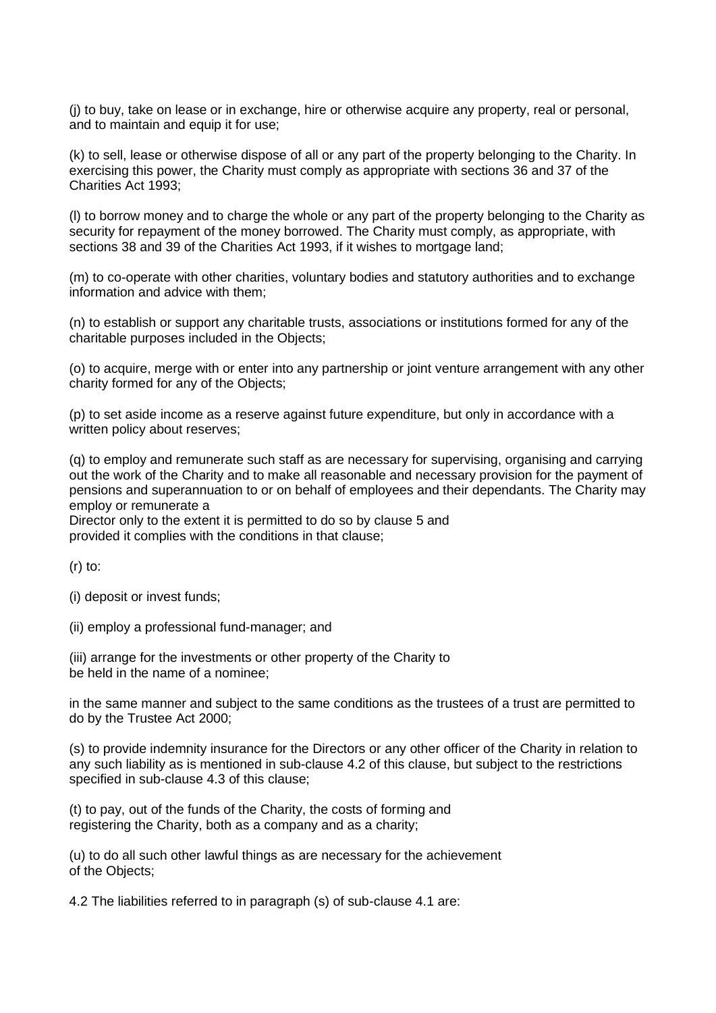(j) to buy, take on lease or in exchange, hire or otherwise acquire any property, real or personal, and to maintain and equip it for use;

(k) to sell, lease or otherwise dispose of all or any part of the property belonging to the Charity. In exercising this power, the Charity must comply as appropriate with sections 36 and 37 of the Charities Act 1993;

(l) to borrow money and to charge the whole or any part of the property belonging to the Charity as security for repayment of the money borrowed. The Charity must comply, as appropriate, with sections 38 and 39 of the Charities Act 1993, if it wishes to mortgage land;

(m) to co-operate with other charities, voluntary bodies and statutory authorities and to exchange information and advice with them;

(n) to establish or support any charitable trusts, associations or institutions formed for any of the charitable purposes included in the Objects;

(o) to acquire, merge with or enter into any partnership or joint venture arrangement with any other charity formed for any of the Objects;

(p) to set aside income as a reserve against future expenditure, but only in accordance with a written policy about reserves;

(q) to employ and remunerate such staff as are necessary for supervising, organising and carrying out the work of the Charity and to make all reasonable and necessary provision for the payment of pensions and superannuation to or on behalf of employees and their dependants. The Charity may employ or remunerate a

Director only to the extent it is permitted to do so by clause 5 and provided it complies with the conditions in that clause;

 $(r)$  to:

(i) deposit or invest funds;

(ii) employ a professional fund-manager; and

(iii) arrange for the investments or other property of the Charity to be held in the name of a nominee;

in the same manner and subject to the same conditions as the trustees of a trust are permitted to do by the Trustee Act 2000;

(s) to provide indemnity insurance for the Directors or any other officer of the Charity in relation to any such liability as is mentioned in sub-clause 4.2 of this clause, but subject to the restrictions specified in sub-clause 4.3 of this clause;

(t) to pay, out of the funds of the Charity, the costs of forming and registering the Charity, both as a company and as a charity;

(u) to do all such other lawful things as are necessary for the achievement of the Objects;

4.2 The liabilities referred to in paragraph (s) of sub-clause 4.1 are: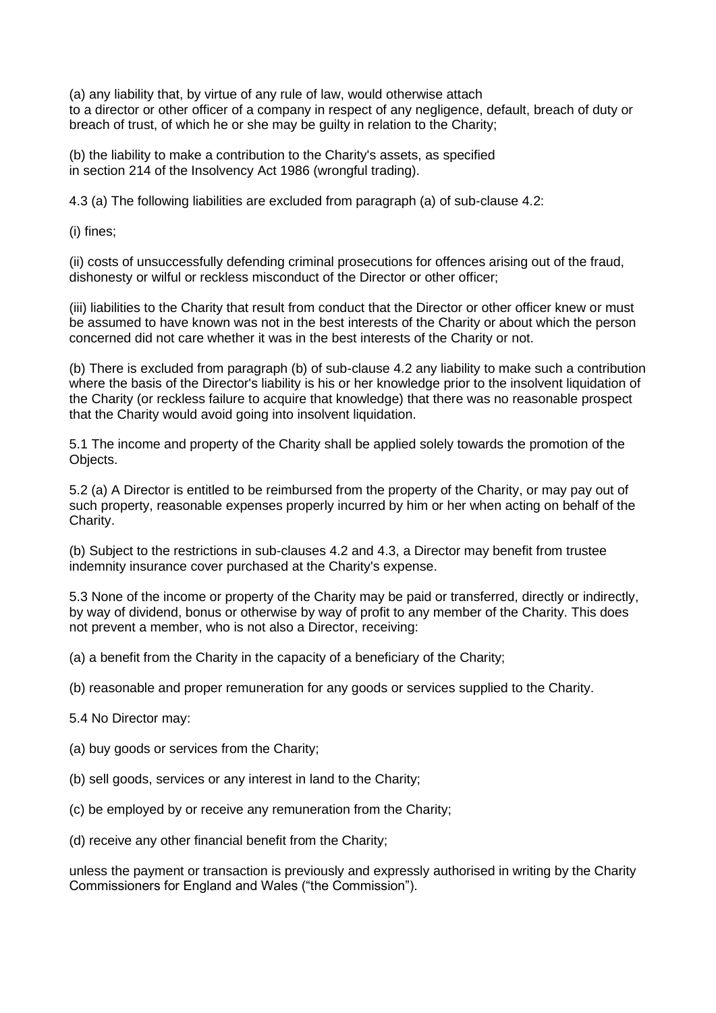(a) any liability that, by virtue of any rule of law, would otherwise attach to a director or other officer of a company in respect of any negligence, default, breach of duty or breach of trust, of which he or she may be guilty in relation to the Charity;

(b) the liability to make a contribution to the Charity's assets, as specified in section 214 of the Insolvency Act 1986 (wrongful trading).

4.3 (a) The following liabilities are excluded from paragraph (a) of sub-clause 4.2:

(i) fines;

(ii) costs of unsuccessfully defending criminal prosecutions for offences arising out of the fraud, dishonesty or wilful or reckless misconduct of the Director or other officer;

(iii) liabilities to the Charity that result from conduct that the Director or other officer knew or must be assumed to have known was not in the best interests of the Charity or about which the person concerned did not care whether it was in the best interests of the Charity or not.

(b) There is excluded from paragraph (b) of sub-clause 4.2 any liability to make such a contribution where the basis of the Director's liability is his or her knowledge prior to the insolvent liquidation of the Charity (or reckless failure to acquire that knowledge) that there was no reasonable prospect that the Charity would avoid going into insolvent liquidation.

5.1 The income and property of the Charity shall be applied solely towards the promotion of the Objects.

5.2 (a) A Director is entitled to be reimbursed from the property of the Charity, or may pay out of such property, reasonable expenses properly incurred by him or her when acting on behalf of the Charity.

(b) Subject to the restrictions in sub-clauses 4.2 and 4.3, a Director may benefit from trustee indemnity insurance cover purchased at the Charity's expense.

5.3 None of the income or property of the Charity may be paid or transferred, directly or indirectly, by way of dividend, bonus or otherwise by way of profit to any member of the Charity. This does not prevent a member, who is not also a Director, receiving:

(a) a benefit from the Charity in the capacity of a beneficiary of the Charity;

(b) reasonable and proper remuneration for any goods or services supplied to the Charity.

5.4 No Director may:

(a) buy goods or services from the Charity;

(b) sell goods, services or any interest in land to the Charity;

(c) be employed by or receive any remuneration from the Charity;

(d) receive any other financial benefit from the Charity;

unless the payment or transaction is previously and expressly authorised in writing by the Charity Commissioners for England and Wales ("the Commission").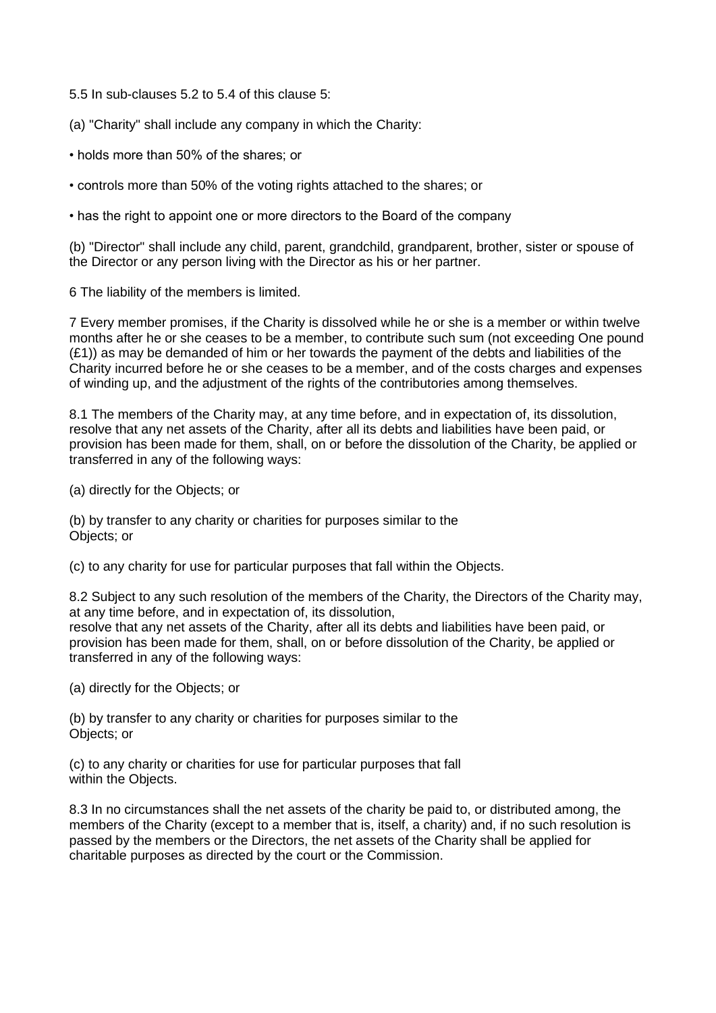5.5 In sub-clauses 5.2 to 5.4 of this clause 5:

(a) "Charity" shall include any company in which the Charity:

• holds more than 50% of the shares; or

• controls more than 50% of the voting rights attached to the shares; or

• has the right to appoint one or more directors to the Board of the company

(b) "Director" shall include any child, parent, grandchild, grandparent, brother, sister or spouse of the Director or any person living with the Director as his or her partner.

6 The liability of the members is limited.

7 Every member promises, if the Charity is dissolved while he or she is a member or within twelve months after he or she ceases to be a member, to contribute such sum (not exceeding One pound  $(E1)$ ) as may be demanded of him or her towards the payment of the debts and liabilities of the Charity incurred before he or she ceases to be a member, and of the costs charges and expenses of winding up, and the adjustment of the rights of the contributories among themselves.

8.1 The members of the Charity may, at any time before, and in expectation of, its dissolution, resolve that any net assets of the Charity, after all its debts and liabilities have been paid, or provision has been made for them, shall, on or before the dissolution of the Charity, be applied or transferred in any of the following ways:

(a) directly for the Objects; or

(b) by transfer to any charity or charities for purposes similar to the Objects; or

(c) to any charity for use for particular purposes that fall within the Objects.

8.2 Subject to any such resolution of the members of the Charity, the Directors of the Charity may, at any time before, and in expectation of, its dissolution, resolve that any net assets of the Charity, after all its debts and liabilities have been paid, or provision has been made for them, shall, on or before dissolution of the Charity, be applied or transferred in any of the following ways:

(a) directly for the Objects; or

(b) by transfer to any charity or charities for purposes similar to the Objects; or

(c) to any charity or charities for use for particular purposes that fall within the Objects.

8.3 In no circumstances shall the net assets of the charity be paid to, or distributed among, the members of the Charity (except to a member that is, itself, a charity) and, if no such resolution is passed by the members or the Directors, the net assets of the Charity shall be applied for charitable purposes as directed by the court or the Commission.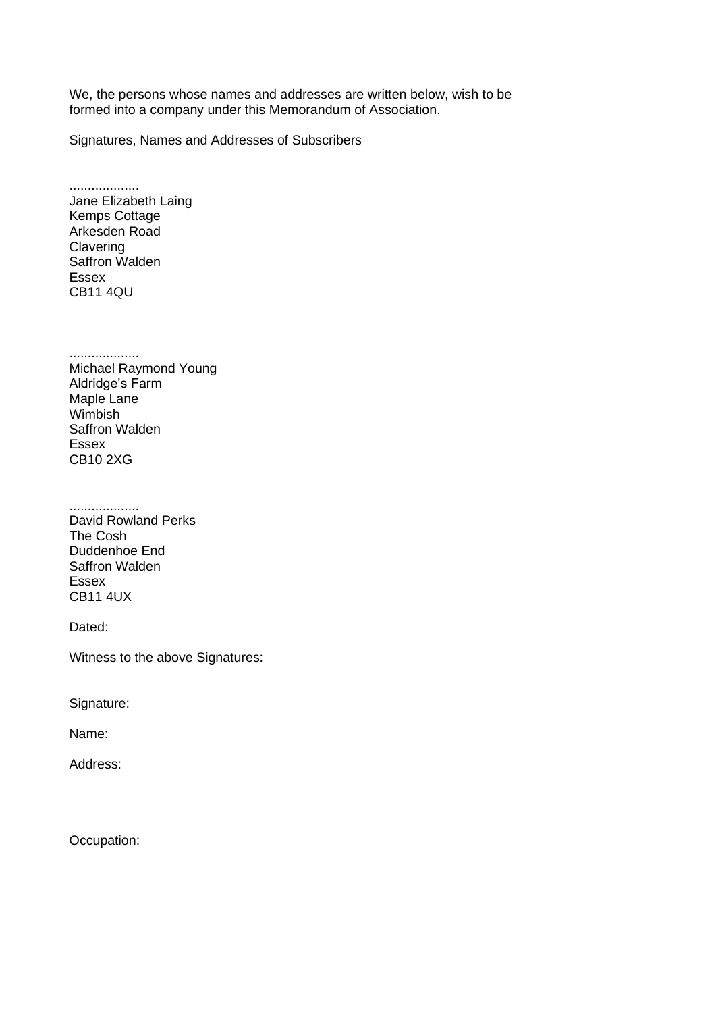We, the persons whose names and addresses are written below, wish to be formed into a company under this Memorandum of Association.

Signatures, Names and Addresses of Subscribers

................... Jane Elizabeth Laing Kemps Cottage Arkesden Road **Clavering** Saffron Walden Essex CB11 4QU

................... Michael Raymond Young Aldridge's Farm Maple Lane Wimbish Saffron Walden Essex CB10 2XG

................... David Rowland Perks The Cosh Duddenhoe End Saffron Walden Essex CB11 4UX

Dated:

Witness to the above Signatures:

Signature:

Name:

Address:

Occupation: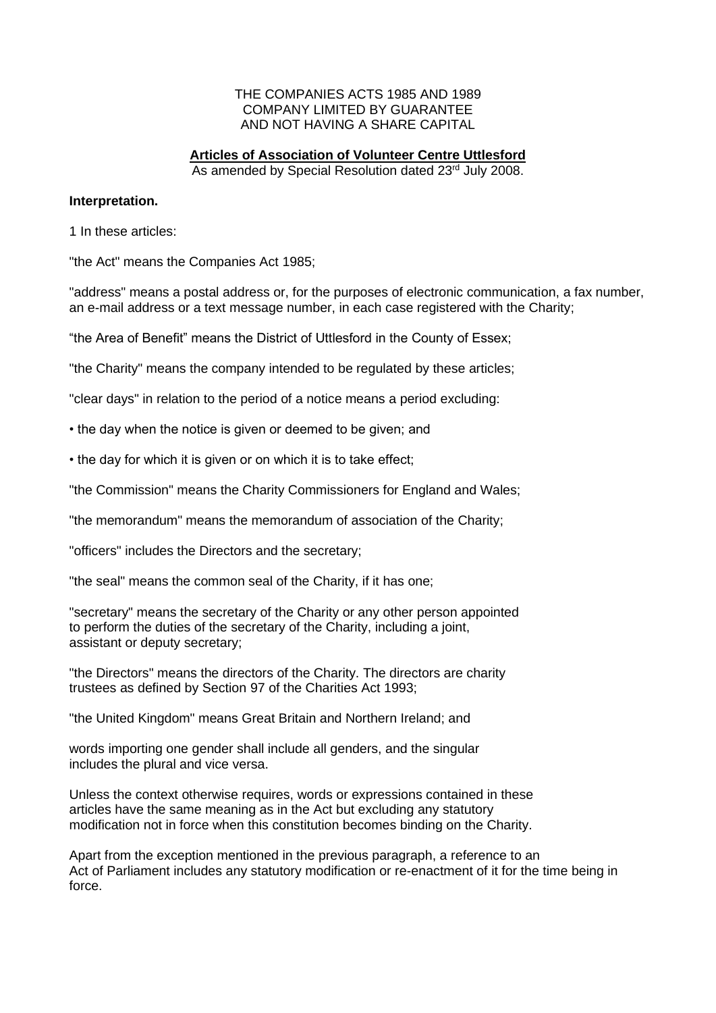#### THE COMPANIES ACTS 1985 AND 1989 COMPANY LIMITED BY GUARANTEE AND NOT HAVING A SHARE CAPITAL

# **Articles of Association of Volunteer Centre Uttlesford**

As amended by Special Resolution dated 23rd July 2008.

#### **Interpretation.**

1 In these articles:

"the Act" means the Companies Act 1985;

"address" means a postal address or, for the purposes of electronic communication, a fax number, an e-mail address or a text message number, in each case registered with the Charity;

"the Area of Benefit" means the District of Uttlesford in the County of Essex;

"the Charity" means the company intended to be regulated by these articles;

"clear days" in relation to the period of a notice means a period excluding:

• the day when the notice is given or deemed to be given; and

• the day for which it is given or on which it is to take effect;

"the Commission" means the Charity Commissioners for England and Wales;

"the memorandum" means the memorandum of association of the Charity;

"officers" includes the Directors and the secretary;

"the seal" means the common seal of the Charity, if it has one;

"secretary" means the secretary of the Charity or any other person appointed to perform the duties of the secretary of the Charity, including a joint, assistant or deputy secretary;

"the Directors" means the directors of the Charity. The directors are charity trustees as defined by Section 97 of the Charities Act 1993;

"the United Kingdom" means Great Britain and Northern Ireland; and

words importing one gender shall include all genders, and the singular includes the plural and vice versa.

Unless the context otherwise requires, words or expressions contained in these articles have the same meaning as in the Act but excluding any statutory modification not in force when this constitution becomes binding on the Charity.

Apart from the exception mentioned in the previous paragraph, a reference to an Act of Parliament includes any statutory modification or re-enactment of it for the time being in force.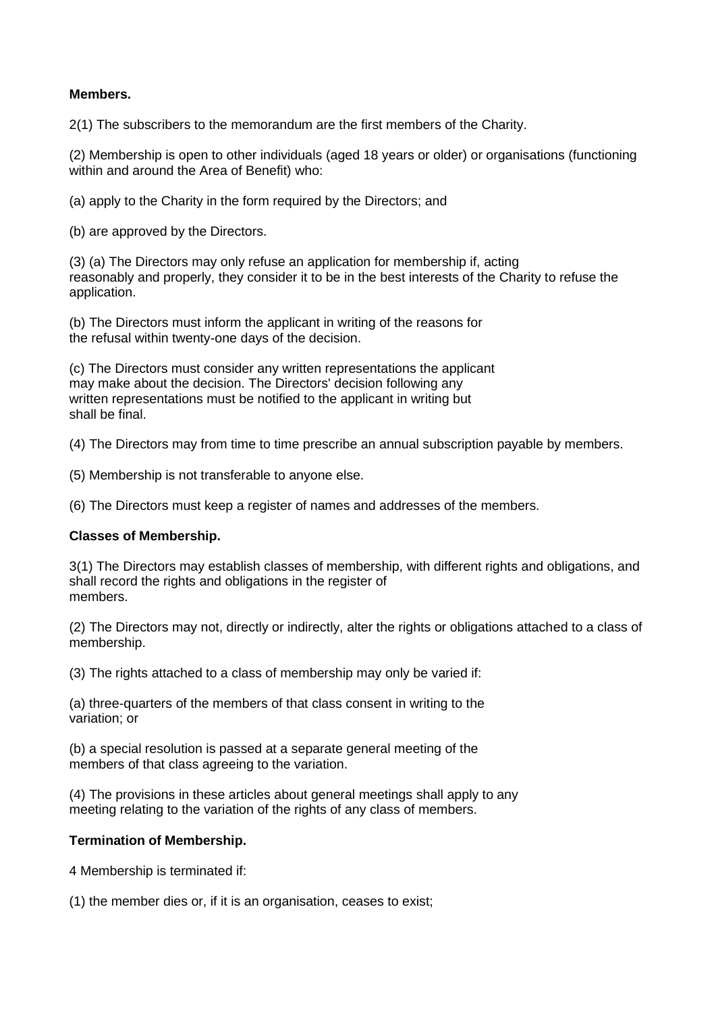## **Members.**

2(1) The subscribers to the memorandum are the first members of the Charity.

(2) Membership is open to other individuals (aged 18 years or older) or organisations (functioning within and around the Area of Benefit) who:

(a) apply to the Charity in the form required by the Directors; and

(b) are approved by the Directors.

(3) (a) The Directors may only refuse an application for membership if, acting reasonably and properly, they consider it to be in the best interests of the Charity to refuse the application.

(b) The Directors must inform the applicant in writing of the reasons for the refusal within twenty-one days of the decision.

(c) The Directors must consider any written representations the applicant may make about the decision. The Directors' decision following any written representations must be notified to the applicant in writing but shall be final.

(4) The Directors may from time to time prescribe an annual subscription payable by members.

(5) Membership is not transferable to anyone else.

(6) The Directors must keep a register of names and addresses of the members.

## **Classes of Membership.**

3(1) The Directors may establish classes of membership, with different rights and obligations, and shall record the rights and obligations in the register of members.

(2) The Directors may not, directly or indirectly, alter the rights or obligations attached to a class of membership.

(3) The rights attached to a class of membership may only be varied if:

(a) three-quarters of the members of that class consent in writing to the variation; or

(b) a special resolution is passed at a separate general meeting of the members of that class agreeing to the variation.

(4) The provisions in these articles about general meetings shall apply to any meeting relating to the variation of the rights of any class of members.

## **Termination of Membership.**

4 Membership is terminated if:

(1) the member dies or, if it is an organisation, ceases to exist;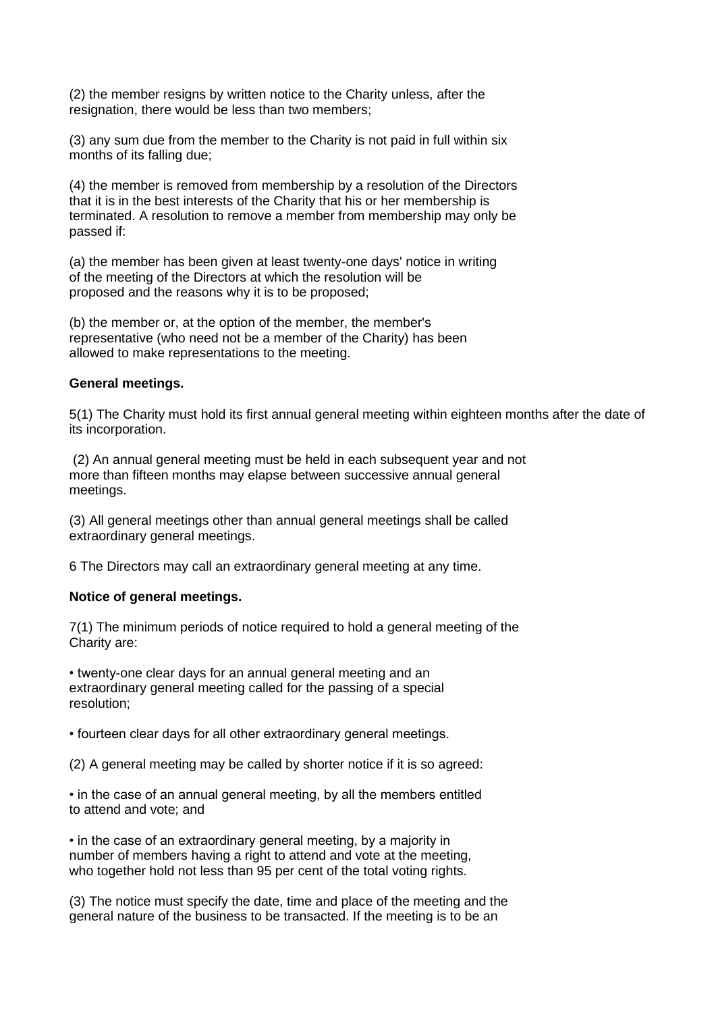(2) the member resigns by written notice to the Charity unless, after the resignation, there would be less than two members;

(3) any sum due from the member to the Charity is not paid in full within six months of its falling due;

(4) the member is removed from membership by a resolution of the Directors that it is in the best interests of the Charity that his or her membership is terminated. A resolution to remove a member from membership may only be passed if:

(a) the member has been given at least twenty-one days' notice in writing of the meeting of the Directors at which the resolution will be proposed and the reasons why it is to be proposed;

(b) the member or, at the option of the member, the member's representative (who need not be a member of the Charity) has been allowed to make representations to the meeting.

#### **General meetings.**

5(1) The Charity must hold its first annual general meeting within eighteen months after the date of its incorporation.

(2) An annual general meeting must be held in each subsequent year and not more than fifteen months may elapse between successive annual general meetings.

(3) All general meetings other than annual general meetings shall be called extraordinary general meetings.

6 The Directors may call an extraordinary general meeting at any time.

#### **Notice of general meetings.**

7(1) The minimum periods of notice required to hold a general meeting of the Charity are:

• twenty-one clear days for an annual general meeting and an extraordinary general meeting called for the passing of a special resolution;

• fourteen clear days for all other extraordinary general meetings.

(2) A general meeting may be called by shorter notice if it is so agreed:

• in the case of an annual general meeting, by all the members entitled to attend and vote; and

• in the case of an extraordinary general meeting, by a majority in number of members having a right to attend and vote at the meeting, who together hold not less than 95 per cent of the total voting rights.

(3) The notice must specify the date, time and place of the meeting and the general nature of the business to be transacted. If the meeting is to be an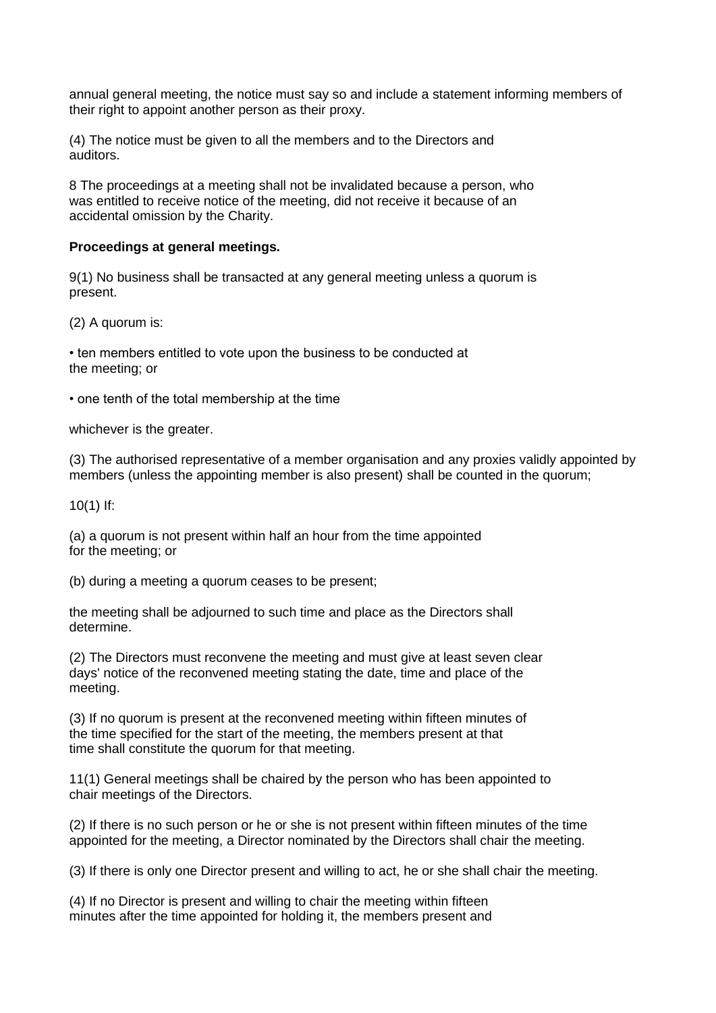annual general meeting, the notice must say so and include a statement informing members of their right to appoint another person as their proxy.

(4) The notice must be given to all the members and to the Directors and auditors.

8 The proceedings at a meeting shall not be invalidated because a person, who was entitled to receive notice of the meeting, did not receive it because of an accidental omission by the Charity.

#### **Proceedings at general meetings.**

9(1) No business shall be transacted at any general meeting unless a quorum is present.

(2) A quorum is:

• ten members entitled to vote upon the business to be conducted at the meeting; or

• one tenth of the total membership at the time

whichever is the greater.

(3) The authorised representative of a member organisation and any proxies validly appointed by members (unless the appointing member is also present) shall be counted in the quorum;

10(1) If:

(a) a quorum is not present within half an hour from the time appointed for the meeting; or

(b) during a meeting a quorum ceases to be present;

the meeting shall be adjourned to such time and place as the Directors shall determine.

(2) The Directors must reconvene the meeting and must give at least seven clear days' notice of the reconvened meeting stating the date, time and place of the meeting.

(3) If no quorum is present at the reconvened meeting within fifteen minutes of the time specified for the start of the meeting, the members present at that time shall constitute the quorum for that meeting.

11(1) General meetings shall be chaired by the person who has been appointed to chair meetings of the Directors.

(2) If there is no such person or he or she is not present within fifteen minutes of the time appointed for the meeting, a Director nominated by the Directors shall chair the meeting.

(3) If there is only one Director present and willing to act, he or she shall chair the meeting.

(4) If no Director is present and willing to chair the meeting within fifteen minutes after the time appointed for holding it, the members present and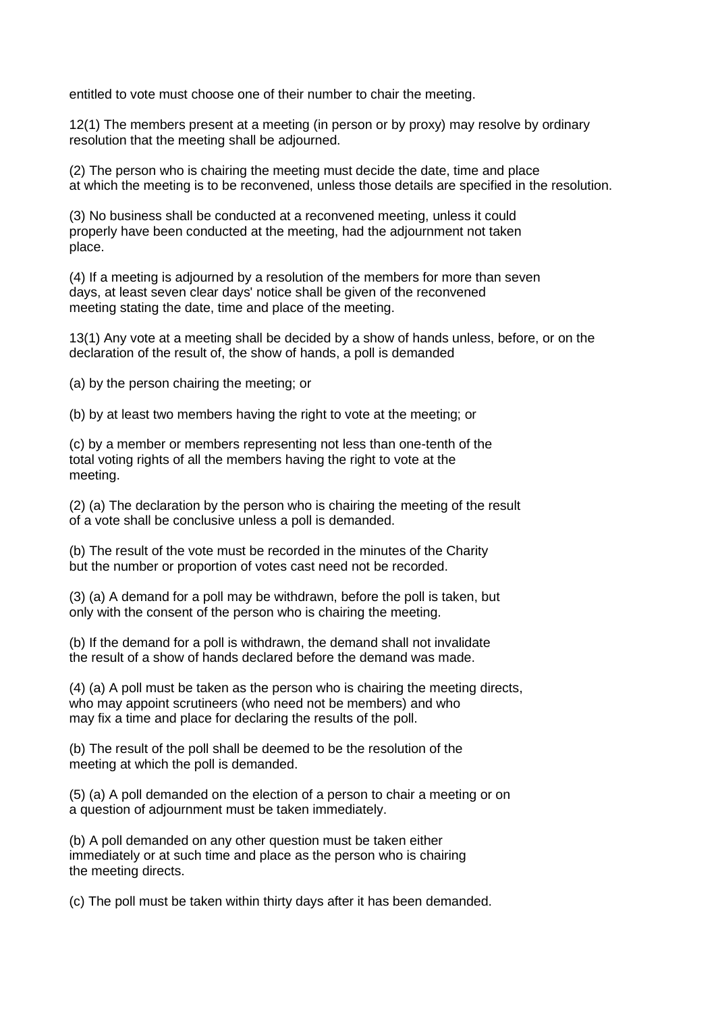entitled to vote must choose one of their number to chair the meeting.

12(1) The members present at a meeting (in person or by proxy) may resolve by ordinary resolution that the meeting shall be adjourned.

(2) The person who is chairing the meeting must decide the date, time and place at which the meeting is to be reconvened, unless those details are specified in the resolution.

(3) No business shall be conducted at a reconvened meeting, unless it could properly have been conducted at the meeting, had the adjournment not taken place.

(4) If a meeting is adjourned by a resolution of the members for more than seven days, at least seven clear days' notice shall be given of the reconvened meeting stating the date, time and place of the meeting.

13(1) Any vote at a meeting shall be decided by a show of hands unless, before, or on the declaration of the result of, the show of hands, a poll is demanded

(a) by the person chairing the meeting; or

(b) by at least two members having the right to vote at the meeting; or

(c) by a member or members representing not less than one-tenth of the total voting rights of all the members having the right to vote at the meeting.

(2) (a) The declaration by the person who is chairing the meeting of the result of a vote shall be conclusive unless a poll is demanded.

(b) The result of the vote must be recorded in the minutes of the Charity but the number or proportion of votes cast need not be recorded.

(3) (a) A demand for a poll may be withdrawn, before the poll is taken, but only with the consent of the person who is chairing the meeting.

(b) If the demand for a poll is withdrawn, the demand shall not invalidate the result of a show of hands declared before the demand was made.

(4) (a) A poll must be taken as the person who is chairing the meeting directs, who may appoint scrutineers (who need not be members) and who may fix a time and place for declaring the results of the poll.

(b) The result of the poll shall be deemed to be the resolution of the meeting at which the poll is demanded.

(5) (a) A poll demanded on the election of a person to chair a meeting or on a question of adjournment must be taken immediately.

(b) A poll demanded on any other question must be taken either immediately or at such time and place as the person who is chairing the meeting directs.

(c) The poll must be taken within thirty days after it has been demanded.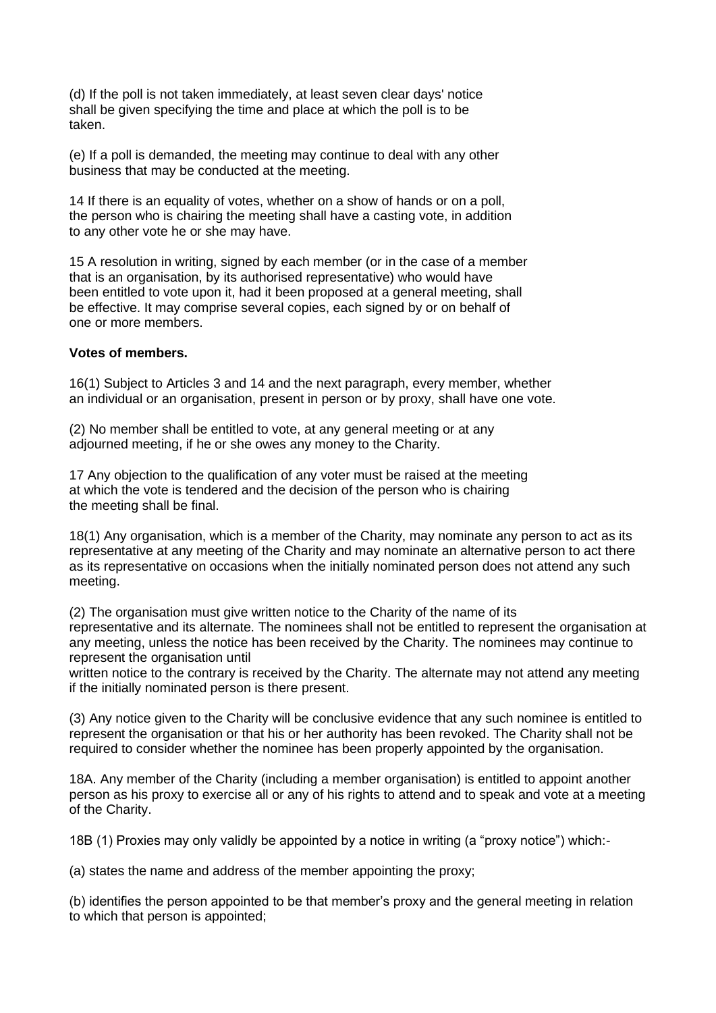(d) If the poll is not taken immediately, at least seven clear days' notice shall be given specifying the time and place at which the poll is to be taken.

(e) If a poll is demanded, the meeting may continue to deal with any other business that may be conducted at the meeting.

14 If there is an equality of votes, whether on a show of hands or on a poll, the person who is chairing the meeting shall have a casting vote, in addition to any other vote he or she may have.

15 A resolution in writing, signed by each member (or in the case of a member that is an organisation, by its authorised representative) who would have been entitled to vote upon it, had it been proposed at a general meeting, shall be effective. It may comprise several copies, each signed by or on behalf of one or more members.

#### **Votes of members.**

16(1) Subject to Articles 3 and 14 and the next paragraph, every member, whether an individual or an organisation, present in person or by proxy, shall have one vote.

(2) No member shall be entitled to vote, at any general meeting or at any adjourned meeting, if he or she owes any money to the Charity.

17 Any objection to the qualification of any voter must be raised at the meeting at which the vote is tendered and the decision of the person who is chairing the meeting shall be final.

18(1) Any organisation, which is a member of the Charity, may nominate any person to act as its representative at any meeting of the Charity and may nominate an alternative person to act there as its representative on occasions when the initially nominated person does not attend any such meeting.

(2) The organisation must give written notice to the Charity of the name of its representative and its alternate. The nominees shall not be entitled to represent the organisation at any meeting, unless the notice has been received by the Charity. The nominees may continue to represent the organisation until

written notice to the contrary is received by the Charity. The alternate may not attend any meeting if the initially nominated person is there present.

(3) Any notice given to the Charity will be conclusive evidence that any such nominee is entitled to represent the organisation or that his or her authority has been revoked. The Charity shall not be required to consider whether the nominee has been properly appointed by the organisation.

18A. Any member of the Charity (including a member organisation) is entitled to appoint another person as his proxy to exercise all or any of his rights to attend and to speak and vote at a meeting of the Charity.

18B (1) Proxies may only validly be appointed by a notice in writing (a "proxy notice") which:-

(a) states the name and address of the member appointing the proxy;

(b) identifies the person appointed to be that member's proxy and the general meeting in relation to which that person is appointed;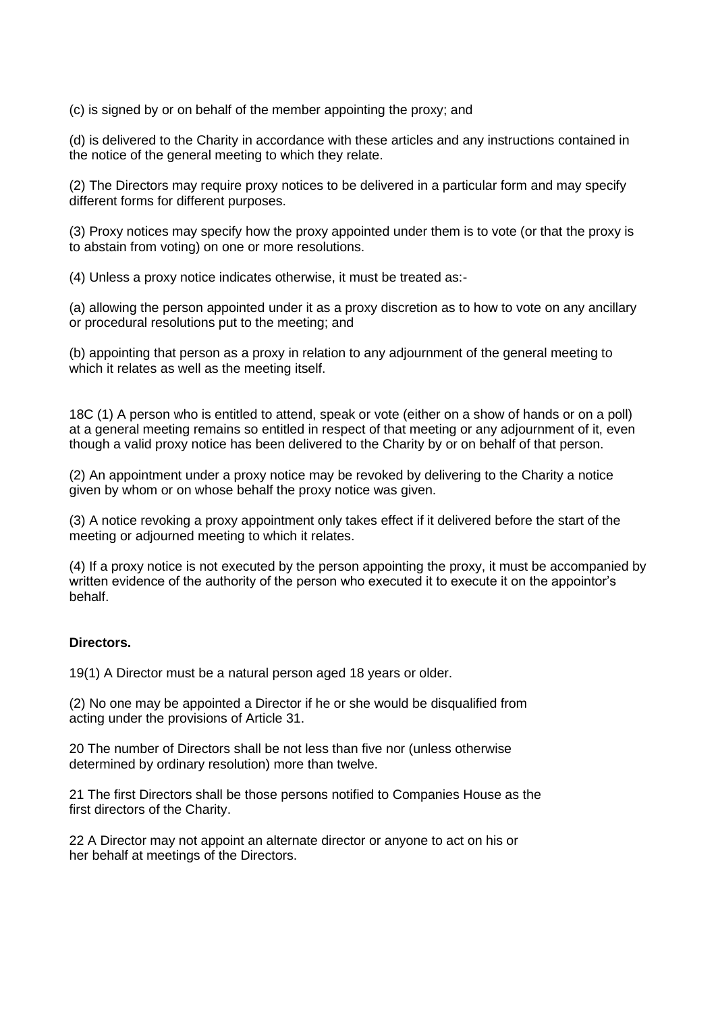(c) is signed by or on behalf of the member appointing the proxy; and

(d) is delivered to the Charity in accordance with these articles and any instructions contained in the notice of the general meeting to which they relate.

(2) The Directors may require proxy notices to be delivered in a particular form and may specify different forms for different purposes.

(3) Proxy notices may specify how the proxy appointed under them is to vote (or that the proxy is to abstain from voting) on one or more resolutions.

(4) Unless a proxy notice indicates otherwise, it must be treated as:-

(a) allowing the person appointed under it as a proxy discretion as to how to vote on any ancillary or procedural resolutions put to the meeting; and

(b) appointing that person as a proxy in relation to any adjournment of the general meeting to which it relates as well as the meeting itself.

18C (1) A person who is entitled to attend, speak or vote (either on a show of hands or on a poll) at a general meeting remains so entitled in respect of that meeting or any adjournment of it, even though a valid proxy notice has been delivered to the Charity by or on behalf of that person.

(2) An appointment under a proxy notice may be revoked by delivering to the Charity a notice given by whom or on whose behalf the proxy notice was given.

(3) A notice revoking a proxy appointment only takes effect if it delivered before the start of the meeting or adjourned meeting to which it relates.

(4) If a proxy notice is not executed by the person appointing the proxy, it must be accompanied by written evidence of the authority of the person who executed it to execute it on the appointor's behalf.

#### **Directors.**

19(1) A Director must be a natural person aged 18 years or older.

(2) No one may be appointed a Director if he or she would be disqualified from acting under the provisions of Article 31.

20 The number of Directors shall be not less than five nor (unless otherwise determined by ordinary resolution) more than twelve.

21 The first Directors shall be those persons notified to Companies House as the first directors of the Charity.

22 A Director may not appoint an alternate director or anyone to act on his or her behalf at meetings of the Directors.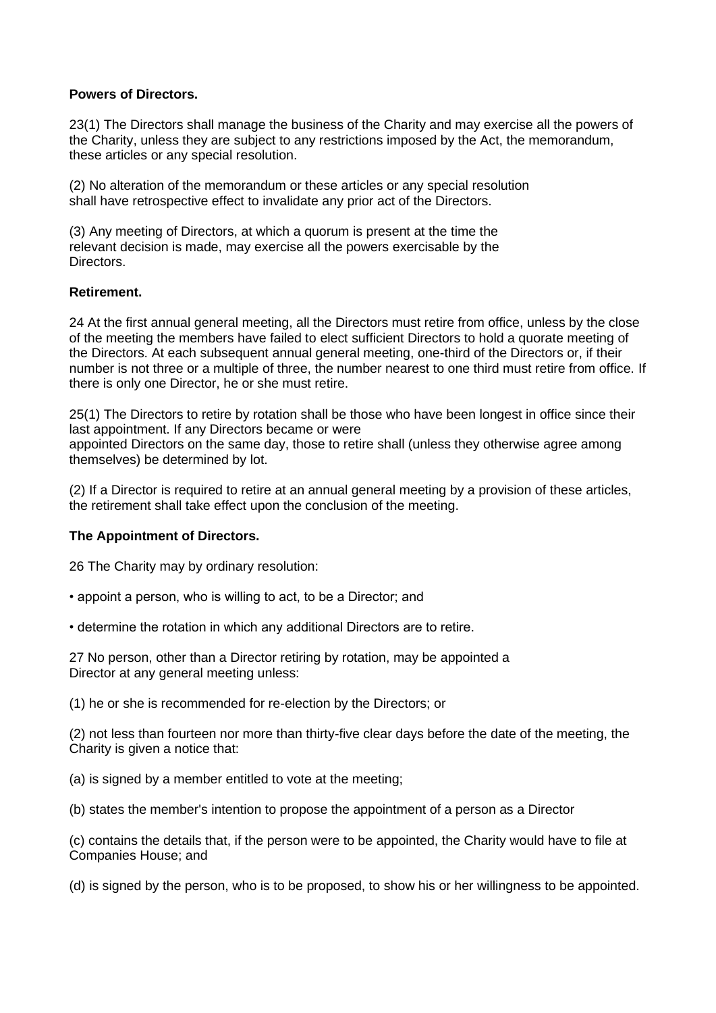#### **Powers of Directors.**

23(1) The Directors shall manage the business of the Charity and may exercise all the powers of the Charity, unless they are subject to any restrictions imposed by the Act, the memorandum, these articles or any special resolution.

(2) No alteration of the memorandum or these articles or any special resolution shall have retrospective effect to invalidate any prior act of the Directors.

(3) Any meeting of Directors, at which a quorum is present at the time the relevant decision is made, may exercise all the powers exercisable by the **Directors** 

## **Retirement.**

24 At the first annual general meeting, all the Directors must retire from office, unless by the close of the meeting the members have failed to elect sufficient Directors to hold a quorate meeting of the Directors. At each subsequent annual general meeting, one-third of the Directors or, if their number is not three or a multiple of three, the number nearest to one third must retire from office. If there is only one Director, he or she must retire.

25(1) The Directors to retire by rotation shall be those who have been longest in office since their last appointment. If any Directors became or were appointed Directors on the same day, those to retire shall (unless they otherwise agree among themselves) be determined by lot.

(2) If a Director is required to retire at an annual general meeting by a provision of these articles, the retirement shall take effect upon the conclusion of the meeting.

## **The Appointment of Directors.**

26 The Charity may by ordinary resolution:

• appoint a person, who is willing to act, to be a Director; and

• determine the rotation in which any additional Directors are to retire.

27 No person, other than a Director retiring by rotation, may be appointed a Director at any general meeting unless:

(1) he or she is recommended for re-election by the Directors; or

(2) not less than fourteen nor more than thirty-five clear days before the date of the meeting, the Charity is given a notice that:

(a) is signed by a member entitled to vote at the meeting;

(b) states the member's intention to propose the appointment of a person as a Director

(c) contains the details that, if the person were to be appointed, the Charity would have to file at Companies House; and

(d) is signed by the person, who is to be proposed, to show his or her willingness to be appointed.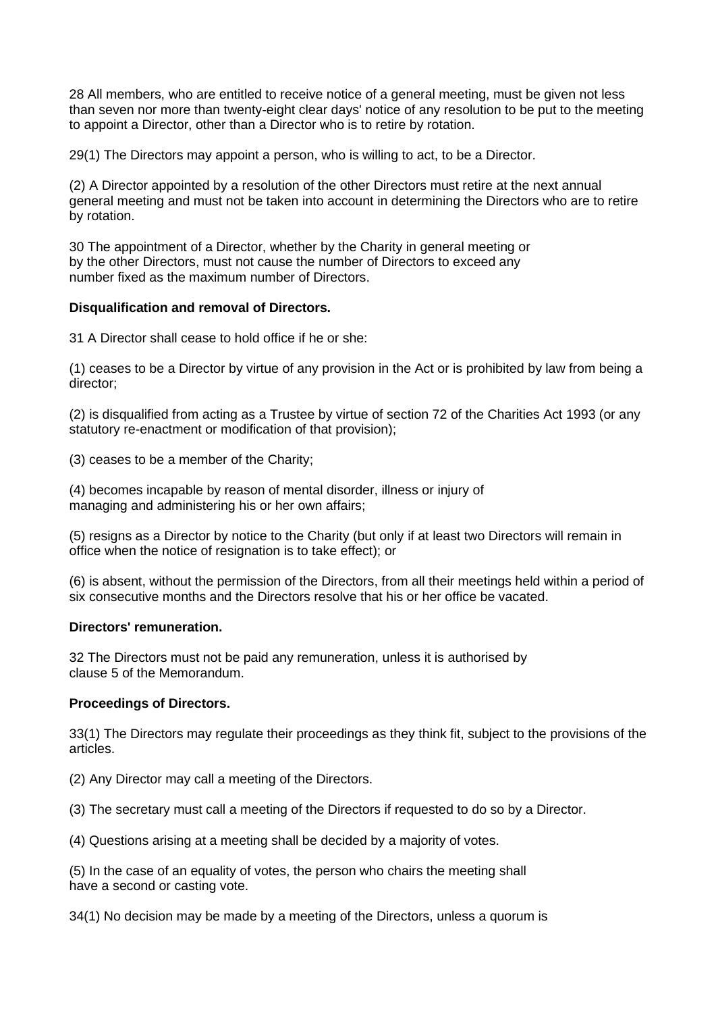28 All members, who are entitled to receive notice of a general meeting, must be given not less than seven nor more than twenty-eight clear days' notice of any resolution to be put to the meeting to appoint a Director, other than a Director who is to retire by rotation.

29(1) The Directors may appoint a person, who is willing to act, to be a Director.

(2) A Director appointed by a resolution of the other Directors must retire at the next annual general meeting and must not be taken into account in determining the Directors who are to retire by rotation.

30 The appointment of a Director, whether by the Charity in general meeting or by the other Directors, must not cause the number of Directors to exceed any number fixed as the maximum number of Directors.

#### **Disqualification and removal of Directors.**

31 A Director shall cease to hold office if he or she:

(1) ceases to be a Director by virtue of any provision in the Act or is prohibited by law from being a director;

(2) is disqualified from acting as a Trustee by virtue of section 72 of the Charities Act 1993 (or any statutory re-enactment or modification of that provision);

(3) ceases to be a member of the Charity;

(4) becomes incapable by reason of mental disorder, illness or injury of managing and administering his or her own affairs;

(5) resigns as a Director by notice to the Charity (but only if at least two Directors will remain in office when the notice of resignation is to take effect); or

(6) is absent, without the permission of the Directors, from all their meetings held within a period of six consecutive months and the Directors resolve that his or her office be vacated.

#### **Directors' remuneration.**

32 The Directors must not be paid any remuneration, unless it is authorised by clause 5 of the Memorandum.

## **Proceedings of Directors.**

33(1) The Directors may regulate their proceedings as they think fit, subject to the provisions of the articles.

(2) Any Director may call a meeting of the Directors.

(3) The secretary must call a meeting of the Directors if requested to do so by a Director.

(4) Questions arising at a meeting shall be decided by a majority of votes.

(5) In the case of an equality of votes, the person who chairs the meeting shall have a second or casting vote.

34(1) No decision may be made by a meeting of the Directors, unless a quorum is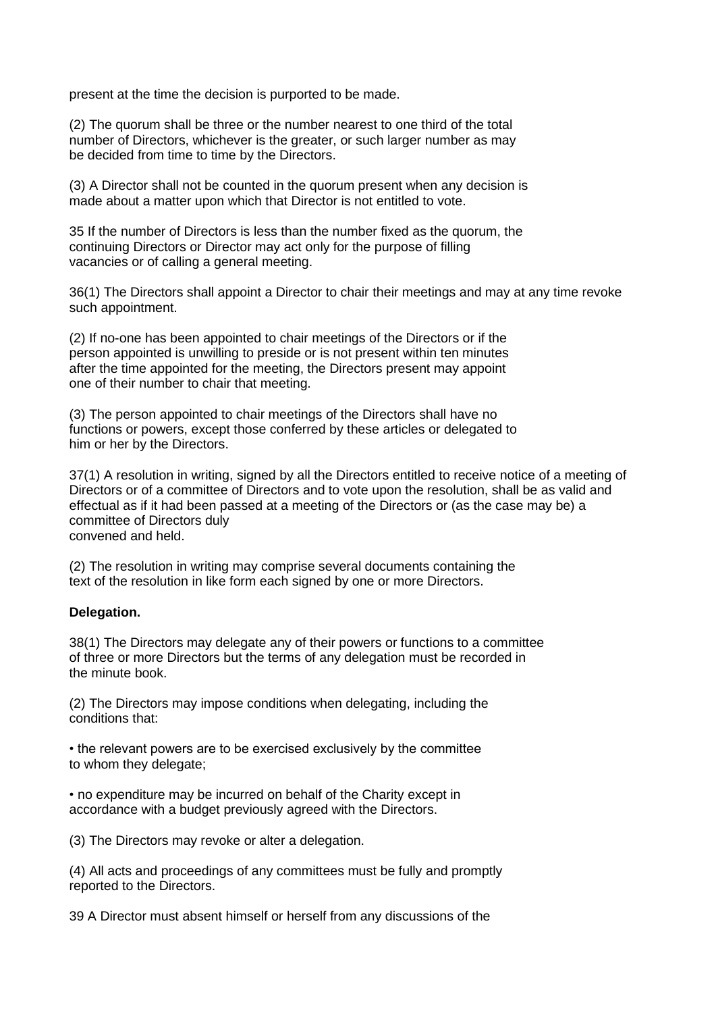present at the time the decision is purported to be made.

(2) The quorum shall be three or the number nearest to one third of the total number of Directors, whichever is the greater, or such larger number as may be decided from time to time by the Directors.

(3) A Director shall not be counted in the quorum present when any decision is made about a matter upon which that Director is not entitled to vote.

35 If the number of Directors is less than the number fixed as the quorum, the continuing Directors or Director may act only for the purpose of filling vacancies or of calling a general meeting.

36(1) The Directors shall appoint a Director to chair their meetings and may at any time revoke such appointment.

(2) If no-one has been appointed to chair meetings of the Directors or if the person appointed is unwilling to preside or is not present within ten minutes after the time appointed for the meeting, the Directors present may appoint one of their number to chair that meeting.

(3) The person appointed to chair meetings of the Directors shall have no functions or powers, except those conferred by these articles or delegated to him or her by the Directors.

37(1) A resolution in writing, signed by all the Directors entitled to receive notice of a meeting of Directors or of a committee of Directors and to vote upon the resolution, shall be as valid and effectual as if it had been passed at a meeting of the Directors or (as the case may be) a committee of Directors duly convened and held.

(2) The resolution in writing may comprise several documents containing the text of the resolution in like form each signed by one or more Directors.

#### **Delegation.**

38(1) The Directors may delegate any of their powers or functions to a committee of three or more Directors but the terms of any delegation must be recorded in the minute book.

(2) The Directors may impose conditions when delegating, including the conditions that:

• the relevant powers are to be exercised exclusively by the committee to whom they delegate;

• no expenditure may be incurred on behalf of the Charity except in accordance with a budget previously agreed with the Directors.

(3) The Directors may revoke or alter a delegation.

(4) All acts and proceedings of any committees must be fully and promptly reported to the Directors.

39 A Director must absent himself or herself from any discussions of the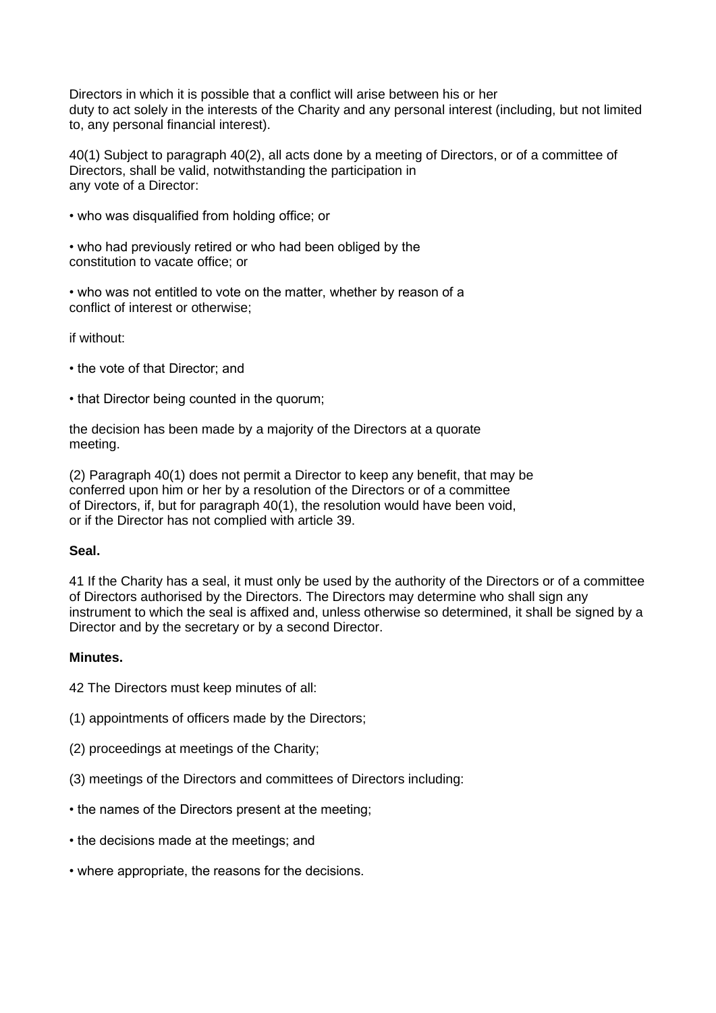Directors in which it is possible that a conflict will arise between his or her duty to act solely in the interests of the Charity and any personal interest (including, but not limited to, any personal financial interest).

40(1) Subject to paragraph 40(2), all acts done by a meeting of Directors, or of a committee of Directors, shall be valid, notwithstanding the participation in any vote of a Director:

- who was disqualified from holding office; or
- who had previously retired or who had been obliged by the constitution to vacate office; or

• who was not entitled to vote on the matter, whether by reason of a conflict of interest or otherwise;

if without:

- the vote of that Director; and
- that Director being counted in the quorum;

the decision has been made by a majority of the Directors at a quorate meeting.

(2) Paragraph 40(1) does not permit a Director to keep any benefit, that may be conferred upon him or her by a resolution of the Directors or of a committee of Directors, if, but for paragraph 40(1), the resolution would have been void, or if the Director has not complied with article 39.

## **Seal.**

41 If the Charity has a seal, it must only be used by the authority of the Directors or of a committee of Directors authorised by the Directors. The Directors may determine who shall sign any instrument to which the seal is affixed and, unless otherwise so determined, it shall be signed by a Director and by the secretary or by a second Director.

## **Minutes.**

42 The Directors must keep minutes of all:

- (1) appointments of officers made by the Directors;
- (2) proceedings at meetings of the Charity;
- (3) meetings of the Directors and committees of Directors including:
- the names of the Directors present at the meeting;
- the decisions made at the meetings; and
- where appropriate, the reasons for the decisions.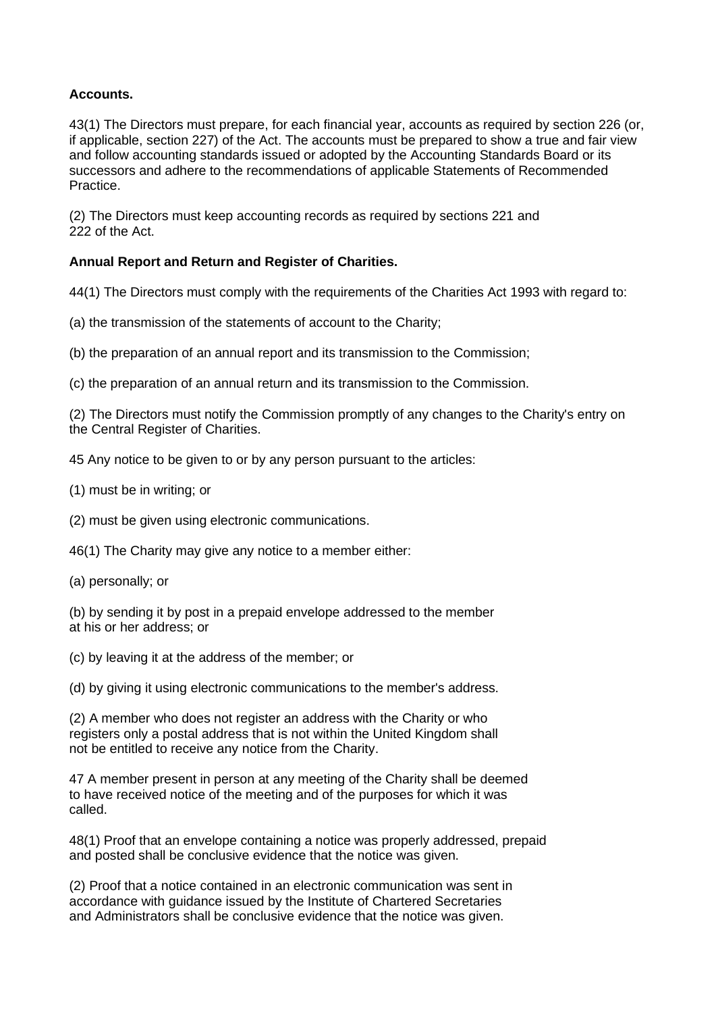## **Accounts.**

43(1) The Directors must prepare, for each financial year, accounts as required by section 226 (or, if applicable, section 227) of the Act. The accounts must be prepared to show a true and fair view and follow accounting standards issued or adopted by the Accounting Standards Board or its successors and adhere to the recommendations of applicable Statements of Recommended Practice.

(2) The Directors must keep accounting records as required by sections 221 and 222 of the Act.

## **Annual Report and Return and Register of Charities.**

44(1) The Directors must comply with the requirements of the Charities Act 1993 with regard to:

- (a) the transmission of the statements of account to the Charity;
- (b) the preparation of an annual report and its transmission to the Commission;

(c) the preparation of an annual return and its transmission to the Commission.

(2) The Directors must notify the Commission promptly of any changes to the Charity's entry on the Central Register of Charities.

45 Any notice to be given to or by any person pursuant to the articles:

(1) must be in writing; or

(2) must be given using electronic communications.

46(1) The Charity may give any notice to a member either:

(a) personally; or

(b) by sending it by post in a prepaid envelope addressed to the member at his or her address; or

(c) by leaving it at the address of the member; or

(d) by giving it using electronic communications to the member's address.

(2) A member who does not register an address with the Charity or who registers only a postal address that is not within the United Kingdom shall not be entitled to receive any notice from the Charity.

47 A member present in person at any meeting of the Charity shall be deemed to have received notice of the meeting and of the purposes for which it was called.

48(1) Proof that an envelope containing a notice was properly addressed, prepaid and posted shall be conclusive evidence that the notice was given.

(2) Proof that a notice contained in an electronic communication was sent in accordance with guidance issued by the Institute of Chartered Secretaries and Administrators shall be conclusive evidence that the notice was given.